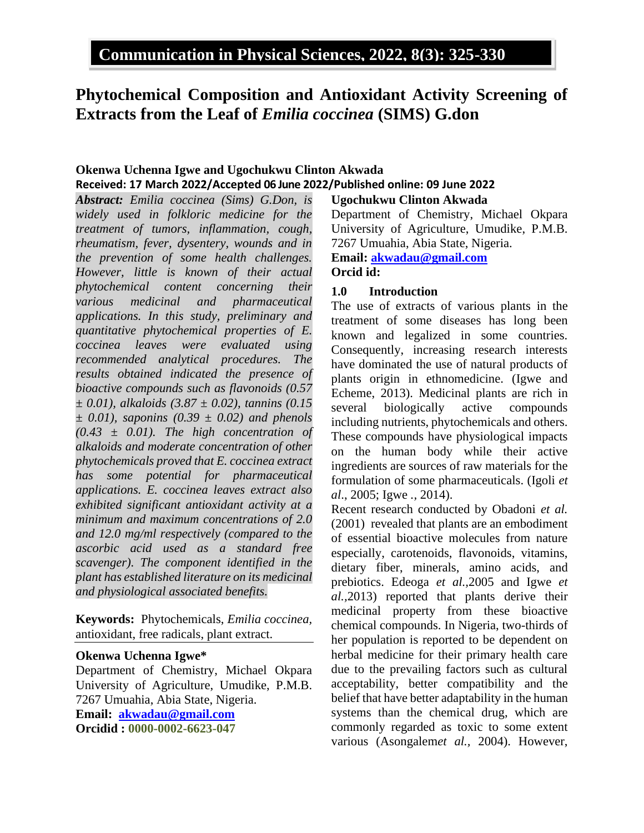# **Phytochemical Composition and Antioxidant Activity Screening of Extracts from the Leaf of** *Emilia coccinea* **(SIMS) G.don**

### **Okenwa Uchenna Igwe and Ugochukwu Clinton Akwada Received: 17 March 2022/Accepted 06 June 2022/Published online: 09 June 2022**

*Abstract: Emilia coccinea (Sims) G.Don, is widely used in folkloric medicine for the treatment of tumors, inflammation, cough, rheumatism, fever, dysentery, wounds and in the prevention of some health challenges. However, little is known of their actual phytochemical content concerning their various medicinal and pharmaceutical applications. In this study, preliminary and quantitative phytochemical properties of E. coccinea leaves were evaluated using recommended analytical procedures. The results obtained indicated the presence of bioactive compounds such as flavonoids (0.57 ± 0.01), alkaloids (3.87 ± 0.02), tannins (0.15 ± 0.01), saponins (0.39 ± 0.02) and phenols (0.43 ± 0.01). The high concentration of alkaloids and moderate concentration of other phytochemicals proved that E. coccinea extract has some potential for pharmaceutical applications. E. coccinea leaves extract also exhibited significant antioxidant activity at a minimum and maximum concentrations of 2.0 and 12.0 mg/ml respectively (compared to the ascorbic acid used as a standard free scavenger). The component identified in the plant has established literature on its medicinal and physiological associated benefits.*

**Keywords:** Phytochemicals, *Emilia coccinea,* antioxidant, free radicals, plant extract.

#### **Okenwa Uchenna Igwe\***

Department of Chemistry, Michael Okpara University of Agriculture, Umudike, P.M.B. 7267 Umuahia, Abia State, Nigeria. **Email: [akwadau@gmail.com](mailto:akwadau@gmail.com) Orcidid : 0000-0002-6623-047**

#### **Ugochukwu Clinton Akwada**

Department of Chemistry, Michael Okpara University of Agriculture, Umudike, P.M.B. 7267 Umuahia, Abia State, Nigeria. **Email: [akwadau@gmail.com](mailto:akwadau@gmail.com)**

### **Orcid id:**

#### **1.0 Introduction**

The use of extracts of various plants in the treatment of some diseases has long been known and legalized in some countries. Consequently, increasing research interests have dominated the use of natural products of plants origin in ethnomedicine. (Igwe and Echeme, 2013). Medicinal plants are rich in several biologically active compounds including nutrients, phytochemicals and others. These compounds have physiological impacts on the human body while their active ingredients are sources of raw materials for the formulation of some pharmaceuticals. (Igoli *et al*., 2005; Igwe *.,* 2014).

Recent research conducted by Obadoni *et al.* (2001) revealed that plants are an embodiment of essential bioactive molecules from nature especially, carotenoids, flavonoids, vitamins, dietary fiber, minerals, amino acids, and prebiotics. Edeoga *et al.,*2005 and Igwe *et al.,*2013) reported that plants derive their medicinal property from these bioactive chemical compounds. In Nigeria, two-thirds of her population is reported to be dependent on herbal medicine for their primary health care due to the prevailing factors such as cultural acceptability, better compatibility and the belief that have better adaptability in the human systems than the chemical drug, which are commonly regarded as toxic to some extent various (Asongalem*et al.,* 2004). However,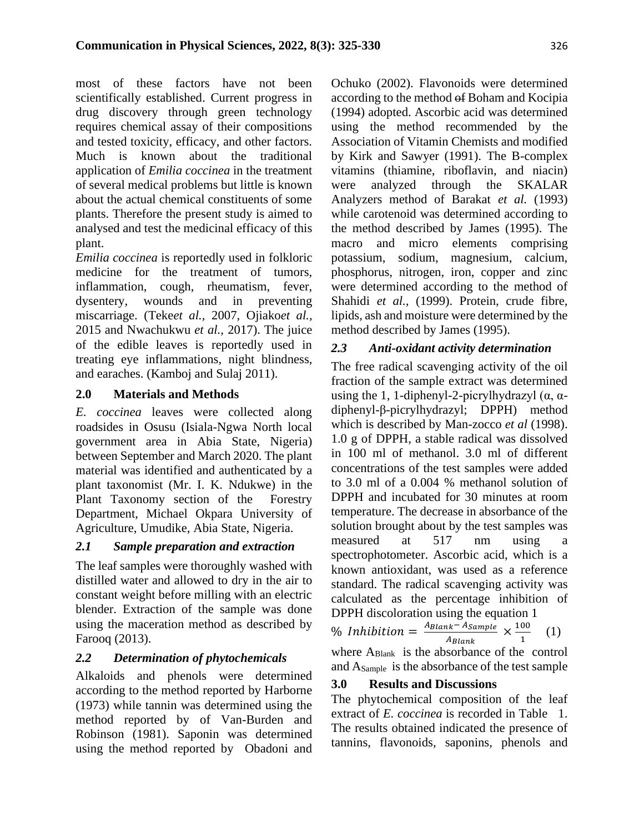most of these factors have not been scientifically established. Current progress in drug discovery through green technology requires chemical assay of their compositions and tested toxicity, efficacy, and other factors. Much is known about the traditional application of *Emilia coccinea* in the treatment of several medical problems but little is known about the actual chemical constituents of some plants. Therefore the present study is aimed to analysed and test the medicinal efficacy of this plant.

*Emilia coccinea* is reportedly used in folkloric medicine for the treatment of tumors, inflammation, cough, rheumatism, fever, dysentery, wounds and in preventing miscarriage. (Teke*et al.,* 2007, Ojiako*et al.,*  2015 and Nwachukwu *et al.,* 2017). The juice of the edible leaves is reportedly used in treating eye inflammations, night blindness, and earaches. (Kamboj and Sulaj 2011).

### **2.0 Materials and Methods**

*E. coccinea* leaves were collected along roadsides in Osusu (Isiala-Ngwa North local government area in Abia State, Nigeria) between September and March 2020. The plant material was identified and authenticated by a plant taxonomist (Mr. I. K. Ndukwe) in the Plant Taxonomy section of the Forestry Department, Michael Okpara University of Agriculture, Umudike, Abia State, Nigeria.

### *2.1 Sample preparation and extraction*

The leaf samples were thoroughly washed with distilled water and allowed to dry in the air to constant weight before milling with an electric blender. Extraction of the sample was done using the maceration method as described by Farooq (2013).

### *2.2 Determination of phytochemicals*

Alkaloids and phenols were determined according to the method reported by Harborne (1973) while tannin was determined using the method reported by of Van-Burden and Robinson (1981). Saponin was determined using the method reported by Obadoni and Ochuko (2002). Flavonoids were determined according to the method of Boham and Kocipia (1994) adopted. Ascorbic acid was determined using the method recommended by the Association of Vitamin Chemists and modified by Kirk and Sawyer (1991). The B-complex vitamins (thiamine, riboflavin, and niacin) were analyzed through the SKALAR Analyzers method of Barakat *et al.* (1993) while carotenoid was determined according to the method described by James (1995). The macro and micro elements comprising potassium, sodium, magnesium, calcium, phosphorus, nitrogen, iron, copper and zinc were determined according to the method of Shahidi *et al.,* (1999). Protein, crude fibre, lipids, ash and moisture were determined by the method described by James (1995).

### *2.3 Anti-oxidant activity determination*

The free radical scavenging activity of the oil fraction of the sample extract was determined using the 1, 1-diphenyl-2-picrylhydrazyl  $(\alpha, \alpha$ diphenyl-β-picrylhydrazyl; DPPH) method which is described by Man-zocco *et al* (1998). 1.0 g of DPPH, a stable radical was dissolved in 100 ml of methanol. 3.0 ml of different concentrations of the test samples were added to 3.0 ml of a 0.004 % methanol solution of DPPH and incubated for 30 minutes at room temperature. The decrease in absorbance of the solution brought about by the test samples was measured at 517 nm using a spectrophotometer. Ascorbic acid, which is a known antioxidant, was used as a reference standard. The radical scavenging activity was calculated as the percentage inhibition of DPPH discoloration using the equation 1

% Inhibition =  $\frac{A_{\text{Blank}}-A_{\text{Sample}}}{A} \times \frac{100}{A}$ (1)

 $A_{\text{Blank}}$ 1 where A<sub>Blank</sub> is the absorbance of the control and ASample is the absorbance of the test sample

### **3.0 Results and Discussions**

The phytochemical composition of the leaf extract of *E. coccinea* is recorded in Table 1. The results obtained indicated the presence of tannins, flavonoids, saponins, phenols and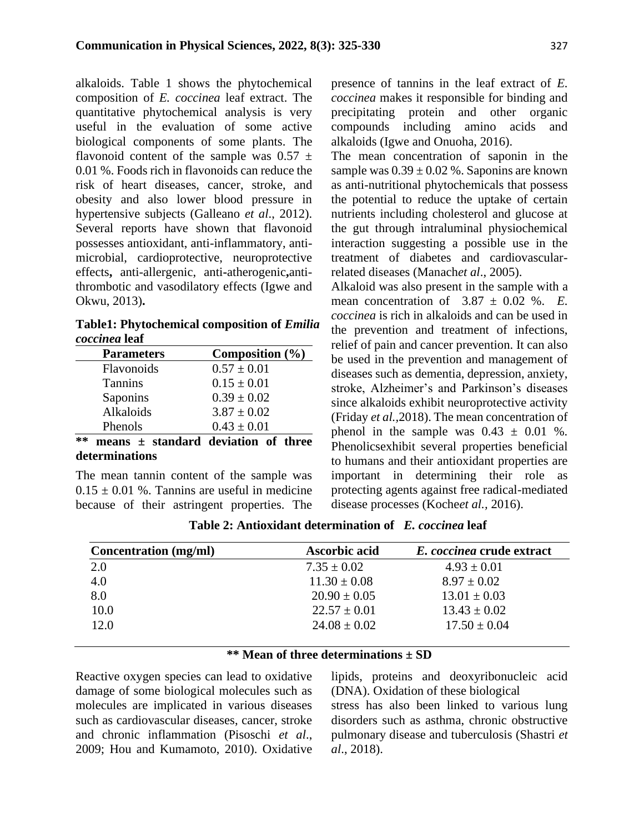alkaloids. Table 1 shows the phytochemical composition of *E. coccinea* leaf extract. The quantitative phytochemical analysis is very useful in the evaluation of some active biological components of some plants. The flavonoid content of the sample was  $0.57 \pm$ 0.01 %. Foods rich in flavonoids can reduce the risk of heart diseases, cancer, stroke, and obesity and also lower blood pressure in hypertensive subjects (Galleano *et al*., 2012). Several reports have shown that flavonoid possesses antioxidant, anti-inflammatory, antimicrobial, cardioprotective, neuroprotective effects**,** anti-allergenic, anti**-**atherogenic**,**antithrombotic and vasodilatory effects (Igwe and Okwu, 2013)**.** 

**Table1: Phytochemical composition of** *Emilia coccinea* **leaf**

| <b>Parameters</b> | Composition $(\% )$                 |  |
|-------------------|-------------------------------------|--|
| Flavonoids        | $0.57 \pm 0.01$                     |  |
| <b>Tannins</b>    | $0.15 \pm 0.01$                     |  |
| Saponins          | $0.39 \pm 0.02$                     |  |
| Alkaloids         | $3.87 \pm 0.02$                     |  |
| Phenols           | $0.43 \pm 0.01$                     |  |
|                   | means + standard deviation of three |  |

**\*\* means ± standard deviation of three determinations**

The mean tannin content of the sample was  $0.15 \pm 0.01$  %. Tannins are useful in medicine because of their astringent properties. The presence of tannins in the leaf extract of *E. coccinea* makes it responsible for binding and precipitating protein and other organic compounds including amino acids and alkaloids (Igwe and Onuoha, 2016).

The mean concentration of saponin in the sample was  $0.39 \pm 0.02$  %. Saponins are known as anti-nutritional phytochemicals that possess the potential to reduce the uptake of certain nutrients including cholesterol and glucose at the gut through intraluminal physiochemical interaction suggesting a possible use in the treatment of diabetes and cardiovascularrelated diseases (Manach*et al*., 2005).

Alkaloid was also present in the sample with a mean concentration of  $3.87 \pm 0.02$  %. *E. coccinea* is rich in alkaloids and can be used in the prevention and treatment of infections, relief of pain and cancer prevention. It can also be used in the prevention and management of diseases such as dementia, depression, anxiety, stroke, Alzheimer's and Parkinson's diseases since alkaloids exhibit neuroprotective activity (Friday *et al.,*2018). The mean concentration of phenol in the sample was  $0.43 \pm 0.01$  %. Phenolicsexhibit several properties beneficial to humans and their antioxidant properties are important in determining their role as protecting agents against free radical-mediated disease processes (Koche*et al.,* 2016).

| <b>Concentration</b> (mg/ml) | <b>Ascorbic acid</b> | E. coccinea crude extract |
|------------------------------|----------------------|---------------------------|
| 2.0                          | $7.35 \pm 0.02$      | $4.93 \pm 0.01$           |
| 4.0                          | $11.30 \pm 0.08$     | $8.97 \pm 0.02$           |
| 8.0                          | $20.90 \pm 0.05$     | $13.01 \pm 0.03$          |
| 10.0                         | $22.57 \pm 0.01$     | $13.43 \pm 0.02$          |
| 12.0                         | $24.08 \pm 0.02$     | $17.50 \pm 0.04$          |

**Table 2: Antioxidant determination of** *E. coccinea* **leaf**

### **\*\* Mean of three determinations ± SD**

Reactive oxygen species can lead to oxidative damage of some biological molecules such as molecules are implicated in various diseases such as cardiovascular diseases, cancer, stroke and chronic inflammation (Pisoschi *et al*., 2009; Hou and Kumamoto, 2010). Oxidative lipids, proteins and deoxyribonucleic acid (DNA). Oxidation of these biological

stress has also been linked to various lung disorders such as asthma, chronic obstructive pulmonary disease and tuberculosis (Shastri *et al*., 2018).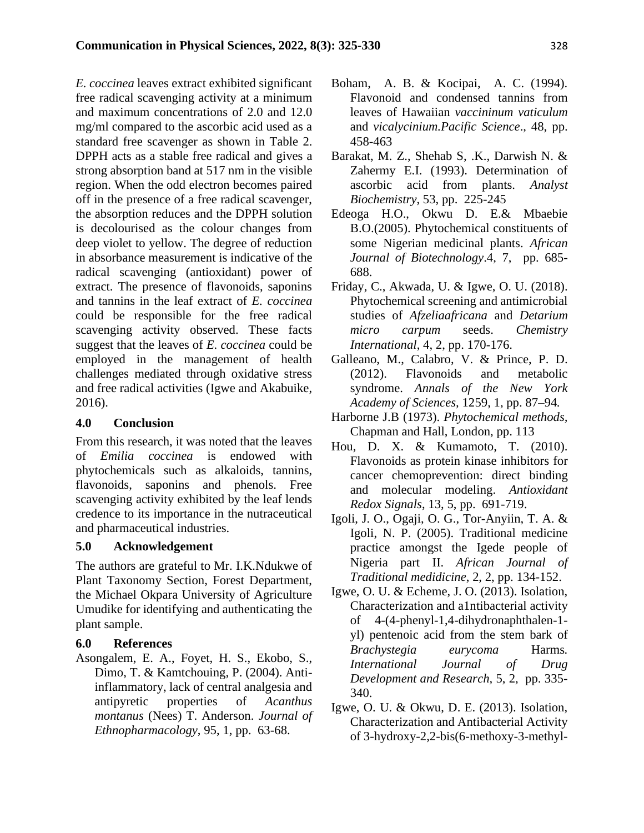*E. coccinea* leaves extract exhibited significant free radical scavenging activity at a minimum and maximum concentrations of 2.0 and 12.0 mg/ml compared to the ascorbic acid used as a standard free scavenger as shown in Table 2. DPPH acts as a stable free radical and gives a strong absorption band at 517 nm in the visible region. When the odd electron becomes paired off in the presence of a free radical scavenger, the absorption reduces and the DPPH solution is decolourised as the colour changes from deep violet to yellow. The degree of reduction in absorbance measurement is indicative of the radical scavenging (antioxidant) power of extract. The presence of flavonoids, saponins and tannins in the leaf extract of *E. coccinea*  could be responsible for the free radical scavenging activity observed. These facts suggest that the leaves of *E. coccinea* could be employed in the management of health challenges mediated through oxidative stress and free radical activities (Igwe and Akabuike, 2016).

#### **4.0 Conclusion**

From this research, it was noted that the leaves of *Emilia coccinea* is endowed with phytochemicals such as alkaloids, tannins, flavonoids, saponins and phenols. Free scavenging activity exhibited by the leaf lends credence to its importance in the nutraceutical and pharmaceutical industries.

#### **5.0 Acknowledgement**

The authors are grateful to Mr. I.K.Ndukwe of Plant Taxonomy Section, Forest Department, the Michael Okpara University of Agriculture Umudike for identifying and authenticating the plant sample.

#### **6.0 References**

Asongalem, E. A., Foyet, H. S., Ekobo, S., Dimo, T. & Kamtchouing, P. (2004). Antiinflammatory, lack of central analgesia and antipyretic properties of *Acanthus montanus* (Nees) T. Anderson. *Journal of Ethnopharmacology*, 95, 1, pp. 63-68.

- Boham, A. B. & Kocipai, A. C. (1994). Flavonoid and condensed tannins from leaves of Hawaiian *vaccininum vaticulum* and *vicalycinium.Pacific Science*., 48, pp. 458-463
- Barakat, M. Z., Shehab S, .K., Darwish N. & Zahermy E.I. (1993). Determination of ascorbic acid from plants. *Analyst Biochemistry*, 53, pp. 225-245
- Edeoga H.O., Okwu D. E.& Mbaebie B.O.(2005). Phytochemical constituents of some Nigerian medicinal plants. *African Journal of Biotechnology*.4, 7, pp. 685- 688.
- Friday, C., Akwada, U. & Igwe, O. U. (2018). Phytochemical screening and antimicrobial studies of *Afzeliaafricana* and *Detarium micro carpum* seeds. *Chemistry International*, 4, 2, pp. 170-176.
- Galleano, M., Calabro, V. & Prince, P. D. (2012). Flavonoids and metabolic syndrome. *Annals of the New York Academy of Sciences,* 1259, 1, pp. 87–94*.*
- Harborne J.B (1973). *Phytochemical methods,* Chapman and Hall, London, pp. 113
- Hou, D. X. & Kumamoto, T. (2010). Flavonoids as protein kinase inhibitors for cancer chemoprevention: direct binding and molecular modeling. *Antioxidant Redox Signals*, 13, 5, pp. 691-719.
- Igoli, J. O., Ogaji, O. G., Tor-Anyiin, T. A. & Igoli, N. P. (2005). Traditional medicine practice amongst the Igede people of Nigeria part II. *African Journal of Traditional medidicine*, 2, 2, pp. 134-152.
- Igwe, O. U. & Echeme, J. O. (2013). Isolation, Characterization and a1ntibacterial activity of 4-(4-phenyl-1,4-dihydronaphthalen-1 yl) pentenoic acid from the stem bark of *Brachystegia eurycoma* Harms*. International Journal of Drug Development and Research,* 5, 2, pp. 335- 340.
- Igwe, O. U. & Okwu, D. E. (2013). Isolation, Characterization and Antibacterial Activity of 3-hydroxy-2,2-bis(6-methoxy-3-methyl-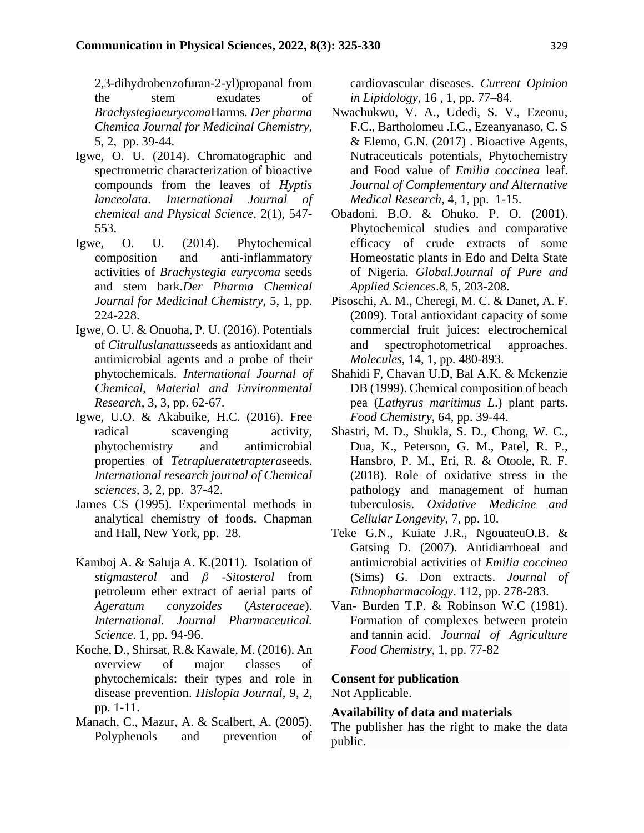2,3-dihydrobenzofuran-2-yl)propanal from the stem exudates of *Brachystegiaeurycoma*Harms*. Der pharma Chemica Journal for Medicinal Chemistry,*  5, 2, pp. 39-44.

- Igwe, O. U. (2014). Chromatographic and spectrometric characterization of bioactive compounds from the leaves of *Hyptis lanceolata*. *International Journal of chemical and Physical Science,* 2(1), 547- 553.
- Igwe, O. U. (2014). Phytochemical composition and anti-inflammatory activities of *Brachystegia eurycoma* seeds and stem bark.*Der Pharma Chemical Journal for Medicinal Chemistry*, 5, 1, pp. 224-228.
- Igwe, O. U. & Onuoha, P. U. (2016). Potentials of *Citrulluslanatus*seeds as antioxidant and antimicrobial agents and a probe of their phytochemicals. *International Journal of Chemical, Material and Environmental Research*, 3, 3, pp. 62-67.
- Igwe, U.O. & Akabuike, H.C. (2016). Free radical scavenging activity, phytochemistry and antimicrobial properties of *Tetraplueratetraptera*seeds. *International research journal of Chemical sciences,* 3, 2, pp. 37-42.
- James CS (1995). Experimental methods in analytical chemistry of foods. Chapman and Hall, New York, pp. 28.
- Kamboj A. & Saluja A. K.(2011). Isolation of *stigmasterol* and *β -Sitosterol* from petroleum ether extract of aerial parts of *Ageratum conyzoides* (*Asteraceae*). *International. Journal Pharmaceutical. Science*. 1, pp. 94-96.
- Koche, D., Shirsat, R.& Kawale, M. (2016). An overview of major classes of phytochemicals: their types and role in disease prevention. *Hislopia Journal*, 9, 2, pp. 1-11.
- Manach, C., Mazur, A. & Scalbert, A. (2005). Polyphenols and prevention of

cardiovascular diseases. *Current Opinion in Lipidology,* 16 , 1, pp. 77–84*.*

- Nwachukwu, V. A., Udedi, S. V., Ezeonu, F.C., Bartholomeu .I.C., Ezeanyanaso, C. S & Elemo, G.N. (2017) . Bioactive Agents, Nutraceuticals potentials, Phytochemistry and Food value of *Emilia coccinea* leaf. *Journal of Complementary and Alternative Medical Research*, 4, 1, pp. 1-15.
- Obadoni. B.O. & Ohuko. P. O. (2001). Phytochemical studies and comparative efficacy of crude extracts of some Homeostatic plants in Edo and Delta State of Nigeria. *Global.Journal of Pure and Applied Sciences*.8, 5, 203-208.
- Pisoschi, A. M., Cheregi, M. C. & Danet, A. F. (2009). Total antioxidant capacity of some commercial fruit juices: electrochemical and spectrophotometrical approaches. *Molecules*, 14, 1, pp. 480-893.
- Shahidi F, Chavan U.D, Bal A.K. & Mckenzie DB (1999). Chemical composition of beach pea (*Lathyrus maritimus L*.) plant parts. *Food Chemistry*, 64, pp. 39-44.
- Shastri, M. D., Shukla, S. D., Chong, W. C., Dua, K., Peterson, G. M., Patel, R. P., Hansbro, P. M., Eri, R. & Otoole, R. F. (2018). Role of oxidative stress in the pathology and management of human tuberculosis. *Oxidative Medicine and Cellular Longevity*, 7, pp. 10.
- Teke G.N., Kuiate J.R., NgouateuO.B. & Gatsing D. (2007). Antidiarrhoeal and antimicrobial activities of *Emilia coccinea*  (Sims) G. Don extracts. *Journal of Ethnopharmacology*. 112, pp. 278-283.
- Van- Burden T.P. & Robinson W.C (1981). Formation of complexes between protein and tannin acid. *Journal of Agriculture Food Chemistry*, 1, pp. 77-82

#### **Consent for publication**

Not Applicable.

#### **Availability of data and materials**

The publisher has the right to make the data public.